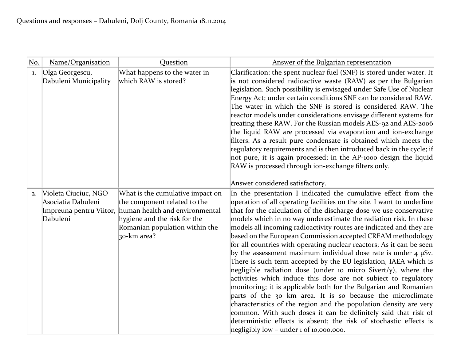| No. | Name/Organisation                                                                 | Question                                                                                                                                                                            | Answer of the Bulgarian representation                                                                                                                                                                                                                                                                                                                                                                                                                                                                                                                                                                                                                                                                                                                                                                                                                                                                                                                                                                                                                                                                                                                                       |
|-----|-----------------------------------------------------------------------------------|-------------------------------------------------------------------------------------------------------------------------------------------------------------------------------------|------------------------------------------------------------------------------------------------------------------------------------------------------------------------------------------------------------------------------------------------------------------------------------------------------------------------------------------------------------------------------------------------------------------------------------------------------------------------------------------------------------------------------------------------------------------------------------------------------------------------------------------------------------------------------------------------------------------------------------------------------------------------------------------------------------------------------------------------------------------------------------------------------------------------------------------------------------------------------------------------------------------------------------------------------------------------------------------------------------------------------------------------------------------------------|
| 1.  | Olga Georgescu,<br>Dabuleni Municipality                                          | What happens to the water in<br>which RAW is stored?                                                                                                                                | Clarification: the spent nuclear fuel (SNF) is stored under water. It<br>is not considered radioactive waste (RAW) as per the Bulgarian<br>legislation. Such possibility is envisaged under Safe Use of Nuclear<br>Energy Act; under certain conditions SNF can be considered RAW.<br>The water in which the SNF is stored is considered RAW. The<br>reactor models under considerations envisage different systems for<br>treating these RAW. For the Russian models AES-92 and AES-2006<br>the liquid RAW are processed via evaporation and ion-exchange<br>filters. As a result pure condensate is obtained which meets the<br>regulatory requirements and is then introduced back in the cycle; if<br>not pure, it is again processed; in the AP-1000 design the liquid<br>RAW is processed through ion-exchange filters only.<br>Answer considered satisfactory.                                                                                                                                                                                                                                                                                                        |
| 2.  | Violeta Ciuciuc, NGO<br>Asociatia Dabuleni<br>Impreuna pentru Viitor,<br>Dabuleni | What is the cumulative impact on<br>the component related to the<br>human health and environmental<br>hygiene and the risk for the<br>Romanian population within the<br>30-km area? | In the presentation I indicated the cumulative effect from the<br>operation of all operating facilities on the site. I want to underline<br>that for the calculation of the discharge dose we use conservative<br>models which in no way underestimate the radiation risk. In these<br>models all incoming radioactivity routes are indicated and they are<br>based on the European Commission accepted CREAM methodology<br>for all countries with operating nuclear reactors; As it can be seen<br>by the assessment maximum individual dose rate is under $4 \mu Sv$ .<br>There is such term accepted by the EU legislation, IAEA which is<br>negligible radiation dose (under 10 micro Sivert/y), where the<br>activities which induce this dose are not subject to regulatory<br>monitoring; it is applicable both for the Bulgarian and Romanian<br>parts of the 30 km area. It is so because the microclimate<br>characteristics of the region and the population density are very<br>common. With such doses it can be definitely said that risk of<br>deterministic effects is absent; the risk of stochastic effects is<br>negligibly low – under 1 of 10,000,000. |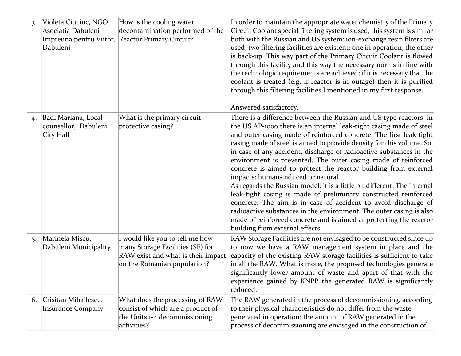| $\overline{3}$ . | Violeta Ciuciuc, NGO<br>Asociatia Dabuleni<br>Impreuna pentru Viitor,<br>Dabuleni | How is the cooling water<br>decontamination performed of the<br>Reactor Primary Circuit?                                                 | In order to maintain the appropriate water chemistry of the Primary<br>Circuit Coolant special filtering system is used; this system is similar<br>both with the Russian and US system: ion-exchange resin filters are<br>used; two filtering facilities are existent: one in operation; the other<br>is back-up. This way part of the Primary Circuit Coolant is flowed<br>through this facility and this way the necessary norms in line with<br>the technologic requirements are achieved; if it is necessary that the<br>coolant is treated (e.g. if reactor is in outage) then it is purified<br>through this filtering facilities I mentioned in my first response.<br>Answered satisfactory.                                                                                                                                                                                                                                        |
|------------------|-----------------------------------------------------------------------------------|------------------------------------------------------------------------------------------------------------------------------------------|--------------------------------------------------------------------------------------------------------------------------------------------------------------------------------------------------------------------------------------------------------------------------------------------------------------------------------------------------------------------------------------------------------------------------------------------------------------------------------------------------------------------------------------------------------------------------------------------------------------------------------------------------------------------------------------------------------------------------------------------------------------------------------------------------------------------------------------------------------------------------------------------------------------------------------------------|
| 4.               | Badi Mariana, Local<br>counsellor, Dabuleni<br>City Hall                          | What is the primary circuit<br>protective casing?                                                                                        | There is a difference between the Russian and US type reactors; in<br>the US AP-1000 there is an internal leak-tight casing made of steel<br>and outer casing made of reinforced concrete. The first leak tight<br>casing made of steel is aimed to provide density for this volume. So,<br>in case of any accident, discharge of radioactive substances in the<br>environment is prevented. The outer casing made of reinforced<br>concrete is aimed to protect the reactor building from external<br>impacts: human-induced or natural.<br>As regards the Russian model: it is a little bit different. The internal<br>leak-tight casing is made of preliminary constructed reinforced<br>concrete. The aim is in case of accident to avoid discharge of<br>radioactive substances in the environment. The outer casing is also<br>made of reinforced concrete and is aimed at protecting the reactor<br>building from external effects. |
| 5.               | Marinela Miscu,<br>Dabuleni Municipality                                          | I would like you to tell me how<br>many Storage Facilities (SF) for<br>RAW exist and what is their impact<br>on the Romanian population? | RAW Storage Facilities are not envisaged to be constructed since up<br>to now we have a RAW management system in place and the<br>capacity of the existing RAW storage facilities is sufficient to take<br>in all the RAW. What is more, the proposed technologies generate<br>significantly lower amount of waste and apart of that with the<br>$\vert$ experience gained by KNPP the generated RAW is significantly<br>reduced.                                                                                                                                                                                                                                                                                                                                                                                                                                                                                                          |
| 6.               | Crisitan Mihailescu,<br><b>Insurance Company</b>                                  | What does the processing of RAW<br>consist of which are a product of<br>the Units 1-4 decommissioning<br>activities?                     | The RAW generated in the process of decommissioning, according<br>to their physical characteristics do not differ from the waste<br>generated in operation; the amount of RAW generated in the<br>process of decommissioning are envisaged in the construction of                                                                                                                                                                                                                                                                                                                                                                                                                                                                                                                                                                                                                                                                          |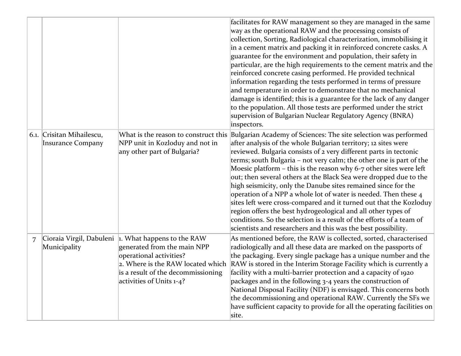|   |                                                |                                                                                                                                                                                                     | facilitates for RAW management so they are managed in the same<br>way as the operational RAW and the processing consists of<br>collection, Sorting, Radiological characterization, immobilising it<br>in a cement matrix and packing it in reinforced concrete casks. A<br>guarantee for the environment and population, their safety in<br>particular, are the high requirements to the cement matrix and the<br>reinforced concrete casing performed. He provided technical<br>information regarding the tests performed in terms of pressure<br>and temperature in order to demonstrate that no mechanical<br>damage is identified; this is a guarantee for the lack of any danger<br>to the population. All those tests are performed under the strict<br>supervision of Bulgarian Nuclear Regulatory Agency (BNRA)<br>inspectors.         |
|---|------------------------------------------------|-----------------------------------------------------------------------------------------------------------------------------------------------------------------------------------------------------|------------------------------------------------------------------------------------------------------------------------------------------------------------------------------------------------------------------------------------------------------------------------------------------------------------------------------------------------------------------------------------------------------------------------------------------------------------------------------------------------------------------------------------------------------------------------------------------------------------------------------------------------------------------------------------------------------------------------------------------------------------------------------------------------------------------------------------------------|
|   | 6.1. Crisitan Mihailescu,<br>Insurance Company | What is the reason to construct this<br>NPP unit in Kozloduy and not in<br>any other part of Bulgaria?                                                                                              | Bulgarian Academy of Sciences: The site selection was performed<br>after analysis of the whole Bulgarian territory; 12 sites were<br>reviewed. Bulgaria consists of 2 very different parts in tectonic<br>terms; south Bulgaria - not very calm; the other one is part of the<br>Moesic platform $-$ this is the reason why 6-7 other sites were left<br>out; then several others at the Black Sea were dropped due to the<br>high seismicity, only the Danube sites remained since for the<br>operation of a NPP a whole lot of water is needed. Then these 4<br>sites left were cross-compared and it turned out that the Kozloduy<br>region offers the best hydrogeological and all other types of<br>conditions. So the selection is a result of the efforts of a team of<br>scientists and researchers and this was the best possibility. |
| 7 | Cioraia Virgil, Dabuleni<br>Municipality       | $\vert$ 1. What happens to the RAW<br>generated from the main NPP<br>operational activities?<br>2. Where is the RAW located which<br>is a result of the decommissioning<br>activities of Units 1-4? | As mentioned before, the RAW is collected, sorted, characterised<br>radiologically and all these data are marked on the passports of<br>the packaging. Every single package has a unique number and the<br>RAW is stored in the Interim Storage Facility which is currently a<br>facility with a multi-barrier protection and a capacity of 1920<br>packages and in the following 3-4 years the construction of<br>National Disposal Facility (NDF) is envisaged. This concerns both<br>the decommissioning and operational RAW. Currently the SFs we<br>have sufficient capacity to provide for all the operating facilities on<br>site.                                                                                                                                                                                                      |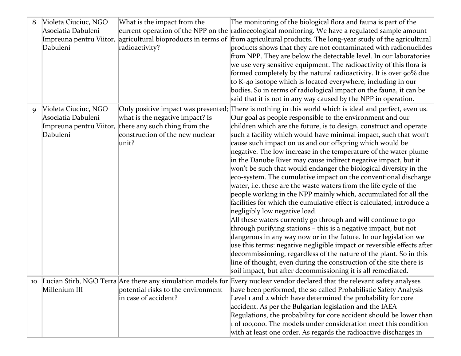| 8  | Violeta Ciuciuc, NGO | What is the impact from the                           | The monitoring of the biological flora and fauna is part of the                                                                  |
|----|----------------------|-------------------------------------------------------|----------------------------------------------------------------------------------------------------------------------------------|
|    | Asociatia Dabuleni   |                                                       | current operation of the NPP on the radioecological monitoring. We have a regulated sample amount                                |
|    |                      |                                                       | Impreuna pentru Viitor, agricultural bioproducts in terms of from agricultural products. The long-year study of the agricultural |
|    | Dabuleni             | radioactivity?                                        | products shows that they are not contaminated with radionuclides                                                                 |
|    |                      |                                                       | from NPP. They are below the detectable level. In our laboratories                                                               |
|    |                      |                                                       | we use very sensitive equipment. The radioactivity of this flora is                                                              |
|    |                      |                                                       | formed completely by the natural radioactivity. It is over 90% due                                                               |
|    |                      |                                                       | to K-40 isotope which is located everywhere, including in our                                                                    |
|    |                      |                                                       | bodies. So in terms of radiological impact on the fauna, it can be                                                               |
|    |                      |                                                       | said that it is not in any way caused by the NPP in operation.                                                                   |
| 9  | Violeta Ciuciuc, NGO |                                                       | Only positive impact was presented; There is nothing in this world which is ideal and perfect, even us.                          |
|    | Asociatia Dabuleni   | what is the negative impact? Is                       | Our goal as people responsible to the environment and our                                                                        |
|    |                      | Impreuna pentru Viitor, there any such thing from the | children which are the future, is to design, construct and operate                                                               |
|    | Dabuleni             | construction of the new nuclear                       | such a facility which would have minimal impact, such that won't                                                                 |
|    |                      | unit?                                                 | cause such impact on us and our offspring which would be                                                                         |
|    |                      |                                                       | negative. The low increase in the temperature of the water plume                                                                 |
|    |                      |                                                       | in the Danube River may cause indirect negative impact, but it                                                                   |
|    |                      |                                                       | won't be such that would endanger the biological diversity in the                                                                |
|    |                      |                                                       | eco-system. The cumulative impact on the conventional discharge                                                                  |
|    |                      |                                                       | water, i.e. these are the waste waters from the life cycle of the                                                                |
|    |                      |                                                       | people working in the NPP mainly which, accumulated for all the                                                                  |
|    |                      |                                                       | facilities for which the cumulative effect is calculated, introduce a                                                            |
|    |                      |                                                       | negligibly low negative load.                                                                                                    |
|    |                      |                                                       | All these waters currently go through and will continue to go                                                                    |
|    |                      |                                                       | through purifying stations - this is a negative impact, but not                                                                  |
|    |                      |                                                       | dangerous in any way now or in the future. In our legislation we                                                                 |
|    |                      |                                                       | use this terms: negative negligible impact or reversible effects after                                                           |
|    |                      |                                                       | decommissioning, regardless of the nature of the plant. So in this                                                               |
|    |                      |                                                       | line of thought, even during the construction of the site there is                                                               |
|    |                      |                                                       | soil impact, but after decommissioning it is all remediated.                                                                     |
| 10 |                      |                                                       | Lucian Stirb, NGO Terra Are there any simulation models for Every nuclear vendor declared that the relevant safety analyses      |
|    | Millenium III        | potential risks to the environment                    | have been performed, the so called Probabilistic Safety Analysis                                                                 |
|    |                      | in case of accident?                                  | Level 1 and 2 which have determined the probability for core                                                                     |
|    |                      |                                                       | accident. As per the Bulgarian legislation and the IAEA                                                                          |
|    |                      |                                                       | Regulations, the probability for core accident should be lower than                                                              |
|    |                      |                                                       | 1 of 100,000. The models under consideration meet this condition                                                                 |
|    |                      |                                                       | with at least one order. As regards the radioactive discharges in                                                                |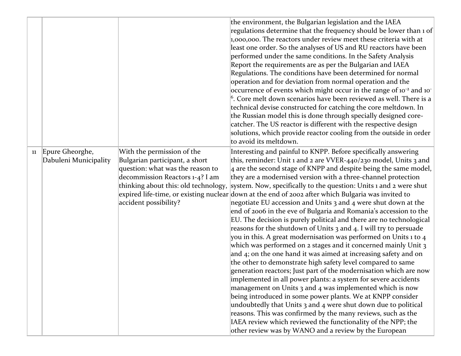|    |                                          |                                                                                                                                                                                                      | the environment, the Bulgarian legislation and the IAEA<br>regulations determine that the frequency should be lower than 1 of<br>1,000,000. The reactors under review meet these criteria with at<br>least one order. So the analyses of US and RU reactors have been<br>performed under the same conditions. In the Safety Analysis<br>Report the requirements are as per the Bulgarian and IAEA<br>Regulations. The conditions have been determined for normal<br>operation and for deviation from normal operation and the<br>occurrence of events which might occur in the range of 10 <sup>-2</sup> and 10 <sup>-</sup><br><sup>6</sup> . Core melt down scenarios have been reviewed as well. There is a<br>technical devise constructed for catching the core meltdown. In<br>the Russian model this is done through specially designed core-<br>catcher. The US reactor is different with the respective design<br>solutions, which provide reactor cooling from the outside in order<br>to avoid its meltdown.                                                                                                                                                                                                                                                                                                                                                                                                                                                                                                                               |
|----|------------------------------------------|------------------------------------------------------------------------------------------------------------------------------------------------------------------------------------------------------|-------------------------------------------------------------------------------------------------------------------------------------------------------------------------------------------------------------------------------------------------------------------------------------------------------------------------------------------------------------------------------------------------------------------------------------------------------------------------------------------------------------------------------------------------------------------------------------------------------------------------------------------------------------------------------------------------------------------------------------------------------------------------------------------------------------------------------------------------------------------------------------------------------------------------------------------------------------------------------------------------------------------------------------------------------------------------------------------------------------------------------------------------------------------------------------------------------------------------------------------------------------------------------------------------------------------------------------------------------------------------------------------------------------------------------------------------------------------------------------------------------------------------------------------------------|
| 11 | Epure Gheorghe,<br>Dabuleni Municipality | With the permission of the<br>Bulgarian participant, a short<br>question: what was the reason to<br>decommission Reactors 1-4? I am<br>thinking about this: old technology,<br>accident possibility? | Interesting and painful to KNPP. Before specifically answering<br>this, reminder: Unit 1 and 2 are VVER-440/230 model, Units 3 and<br>$\vert$ 4 are the second stage of KNPP and despite being the same model,<br>they are a modernised version with a three-channel protection<br>system. Now, specifically to the question: Units 1 and 2 were shut<br>expired life-time, or existing nuclear down at the end of 2002 after which Bulgaria was invited to<br>negotiate EU accession and Units 3 and 4 were shut down at the<br>end of 2006 in the eve of Bulgaria and Romania's accession to the<br>EU. The decision is purely political and there are no technological<br>reasons for the shutdown of Units 3 and 4. I will try to persuade<br>you in this. A great modernisation was performed on Units 1 to 4<br>which was performed on 2 stages and it concerned mainly Unit 3<br>and $4$ ; on the one hand it was aimed at increasing safety and on<br>the other to demonstrate high safety level compared to same<br>generation reactors; Just part of the modernisation which are now<br>implemented in all power plants: a system for severe accidents<br>management on Units 3 and 4 was implemented which is now<br>being introduced in some power plants. We at KNPP consider<br>undoubtedly that Units 3 and 4 were shut down due to political<br>reasons. This was confirmed by the many reviews, such as the<br>IAEA review which reviewed the functionality of the NPP; the<br>other review was by WANO and a review by the European |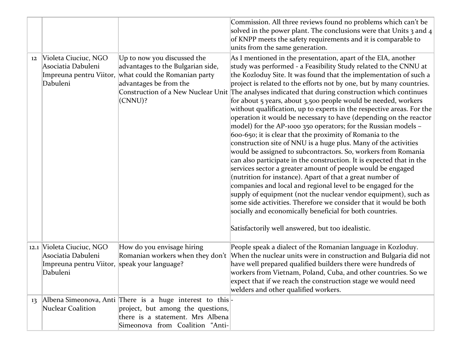|    |                                                                                                             |                                                                                                                                                                     | Commission. All three reviews found no problems which can't be<br>solved in the power plant. The conclusions were that Units $\frac{1}{3}$ and $\frac{1}{4}$<br>of KNPP meets the safety requirements and it is comparable to<br>units from the same generation.                                                                                                                                                                                                                                                                                                                                                                                                                                                                                                                                                                                                                                                                                                                                                                                                                                                                                                                                                                                                                                                                                                                                       |
|----|-------------------------------------------------------------------------------------------------------------|---------------------------------------------------------------------------------------------------------------------------------------------------------------------|--------------------------------------------------------------------------------------------------------------------------------------------------------------------------------------------------------------------------------------------------------------------------------------------------------------------------------------------------------------------------------------------------------------------------------------------------------------------------------------------------------------------------------------------------------------------------------------------------------------------------------------------------------------------------------------------------------------------------------------------------------------------------------------------------------------------------------------------------------------------------------------------------------------------------------------------------------------------------------------------------------------------------------------------------------------------------------------------------------------------------------------------------------------------------------------------------------------------------------------------------------------------------------------------------------------------------------------------------------------------------------------------------------|
| 12 | Violeta Ciuciuc, NGO<br>Asociatia Dabuleni<br>Dabuleni                                                      | Up to now you discussed the<br>advantages to the Bulgarian side,<br>Impreuna pentru Viitor, what could the Romanian party<br>advantages be from the<br>(CNNU)?      | As I mentioned in the presentation, apart of the EIA, another<br>study was performed - a Feasibility Study related to the CNNU at<br>the Kozloduy Site. It was found that the implementation of such a<br>project is related to the efforts not by one, but by many countries.<br>Construction of a New Nuclear Unit The analyses indicated that during construction which continues<br>for about 5 years, about 3,500 people would be needed, workers<br>without qualification, up to experts in the respective areas. For the<br>operation it would be necessary to have (depending on the reactor<br>model) for the AP-1000 350 operators; for the Russian models $-$<br>600-650; it is clear that the proximity of Romania to the<br>construction site of NNU is a huge plus. Many of the activities<br>would be assigned to subcontractors. So, workers from Romania<br>can also participate in the construction. It is expected that in the<br>services sector a greater amount of people would be engaged<br>(nutrition for instance). Apart of that a great number of<br>companies and local and regional level to be engaged for the<br>supply of equipment (not the nuclear vendor equipment), such as<br>some side activities. Therefore we consider that it would be both<br>socially and economically beneficial for both countries.<br>Satisfactorily well answered, but too idealistic. |
|    | 12.1 Violeta Ciuciuc, NGO<br>Asociatia Dabuleni<br>Impreuna pentru Viitor, speak your language?<br>Dabuleni | How do you envisage hiring<br>Romanian workers when they don't                                                                                                      | People speak a dialect of the Romanian language in Kozloduy.<br>When the nuclear units were in construction and Bulgaria did not<br>have well prepared qualified builders there were hundreds of<br>workers from Vietnam, Poland, Cuba, and other countries. So we<br>expect that if we reach the construction stage we would need<br>welders and other qualified workers.                                                                                                                                                                                                                                                                                                                                                                                                                                                                                                                                                                                                                                                                                                                                                                                                                                                                                                                                                                                                                             |
| 13 | <b>Nuclear Coalition</b>                                                                                    | Albena Simeonova, Anti There is a huge interest to this<br>project, but among the questions,<br>there is a statement. Mrs Albena<br>Simeonova from Coalition "Anti- |                                                                                                                                                                                                                                                                                                                                                                                                                                                                                                                                                                                                                                                                                                                                                                                                                                                                                                                                                                                                                                                                                                                                                                                                                                                                                                                                                                                                        |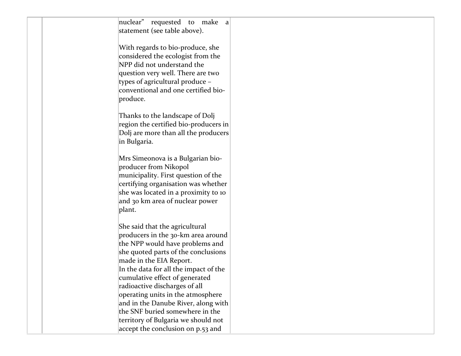| nuclear" requested to make a<br>statement (see table above).                                                                                                                                                                                                                                        |  |
|-----------------------------------------------------------------------------------------------------------------------------------------------------------------------------------------------------------------------------------------------------------------------------------------------------|--|
| With regards to bio-produce, she<br>considered the ecologist from the<br>NPP did not understand the<br>question very well. There are two<br>types of agricultural produce -<br>conventional and one certified bio-<br>produce.                                                                      |  |
| Thanks to the landscape of Dolj<br>region the certified bio-producers in<br>Dolj are more than all the producers<br>in Bulgaria.                                                                                                                                                                    |  |
| Mrs Simeonova is a Bulgarian bio-<br>producer from Nikopol<br>municipality. First question of the<br>certifying organisation was whether<br>she was located in a proximity to 10<br>and 30 km area of nuclear power<br>plant.                                                                       |  |
| She said that the agricultural<br>producers in the 30-km area around<br>the NPP would have problems and<br>she quoted parts of the conclusions<br>made in the EIA Report.                                                                                                                           |  |
| In the data for all the impact of the<br>cumulative effect of generated<br>radioactive discharges of all<br>operating units in the atmosphere<br>and in the Danube River, along with<br>the SNF buried somewhere in the<br>territory of Bulgaria we should not<br>accept the conclusion on p.53 and |  |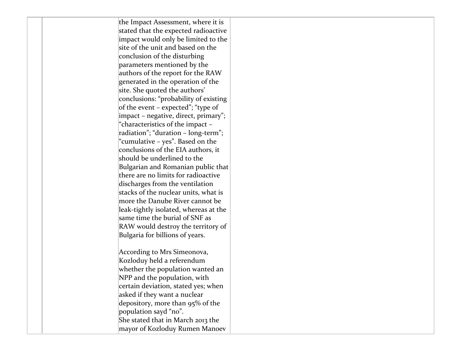| the Impact Assessment, where it is    |  |
|---------------------------------------|--|
| stated that the expected radioactive  |  |
| impact would only be limited to the   |  |
| site of the unit and based on the     |  |
| conclusion of the disturbing          |  |
| parameters mentioned by the           |  |
| authors of the report for the RAW     |  |
| generated in the operation of the     |  |
| site. She quoted the authors'         |  |
| conclusions: "probability of existing |  |
| of the event – expected"; "type of    |  |
| impact - negative, direct, primary";  |  |
| "characteristics of the impact -      |  |
| radiation"; "duration - long-term";   |  |
| "cumulative – yes". Based on the      |  |
| conclusions of the EIA authors, it    |  |
| should be underlined to the           |  |
| Bulgarian and Romanian public that    |  |
| there are no limits for radioactive   |  |
| discharges from the ventilation       |  |
| stacks of the nuclear units, what is  |  |
| more the Danube River cannot be       |  |
| leak-tightly isolated, whereas at the |  |
| same time the burial of SNF as        |  |
| RAW would destroy the territory of    |  |
| Bulgaria for billions of years.       |  |
|                                       |  |
| According to Mrs Simeonova,           |  |
| Kozloduy held a referendum            |  |
| whether the population wanted an      |  |
| NPP and the population, with          |  |
| certain deviation, stated yes; when   |  |
| asked if they want a nuclear          |  |
| depository, more than 95% of the      |  |
| population sayd "no".                 |  |
| She stated that in March 2013 the     |  |
| mayor of Kozloduy Rumen Manoev        |  |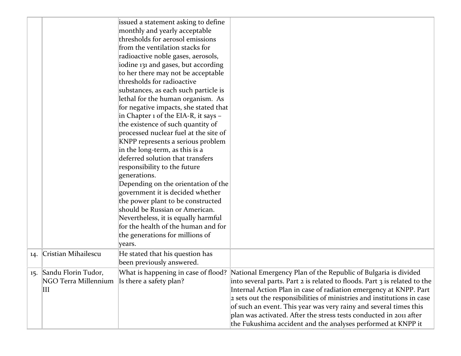|     |                                                                          | issued a statement asking to define<br>monthly and yearly acceptable<br>thresholds for aerosol emissions<br>from the ventilation stacks for<br>radioactive noble gases, aerosols,<br>iodine 131 and gases, but according<br>to her there may not be acceptable<br>thresholds for radioactive<br>substances, as each such particle is<br>lethal for the human organism. As<br>for negative impacts, she stated that<br>in Chapter 1 of the EIA-R, it says -<br>the existence of such quantity of<br>processed nuclear fuel at the site of<br>KNPP represents a serious problem<br>in the long-term, as this is a<br>deferred solution that transfers<br>responsibility to the future<br>generations.<br>Depending on the orientation of the<br>government it is decided whether<br>the power plant to be constructed<br>should be Russian or American.<br>Nevertheless, it is equally harmful<br>for the health of the human and for<br>the generations for millions of |                                                                                                                                                                                                                                                                                                                                                                                                                                                                                                                                            |
|-----|--------------------------------------------------------------------------|------------------------------------------------------------------------------------------------------------------------------------------------------------------------------------------------------------------------------------------------------------------------------------------------------------------------------------------------------------------------------------------------------------------------------------------------------------------------------------------------------------------------------------------------------------------------------------------------------------------------------------------------------------------------------------------------------------------------------------------------------------------------------------------------------------------------------------------------------------------------------------------------------------------------------------------------------------------------|--------------------------------------------------------------------------------------------------------------------------------------------------------------------------------------------------------------------------------------------------------------------------------------------------------------------------------------------------------------------------------------------------------------------------------------------------------------------------------------------------------------------------------------------|
| 14. | Cristian Mihailescu                                                      | years.<br>He stated that his question has                                                                                                                                                                                                                                                                                                                                                                                                                                                                                                                                                                                                                                                                                                                                                                                                                                                                                                                              |                                                                                                                                                                                                                                                                                                                                                                                                                                                                                                                                            |
|     |                                                                          | been previously answered.                                                                                                                                                                                                                                                                                                                                                                                                                                                                                                                                                                                                                                                                                                                                                                                                                                                                                                                                              |                                                                                                                                                                                                                                                                                                                                                                                                                                                                                                                                            |
| 15. | Sandu Florin Tudor,<br>NGO Terra Millennium Is there a safety plan?<br>Ш |                                                                                                                                                                                                                                                                                                                                                                                                                                                                                                                                                                                                                                                                                                                                                                                                                                                                                                                                                                        | What is happening in case of flood?  National Emergency Plan of the Republic of Bulgaria is divided<br>into several parts. Part 2 is related to floods. Part 3 is related to the<br>Internal Action Plan in case of radiation emergency at KNPP. Part<br>2 sets out the responsibilities of ministries and institutions in case<br>of such an event. This year was very rainy and several times this<br>plan was activated. After the stress tests conducted in 2011 after<br>the Fukushima accident and the analyses performed at KNPP it |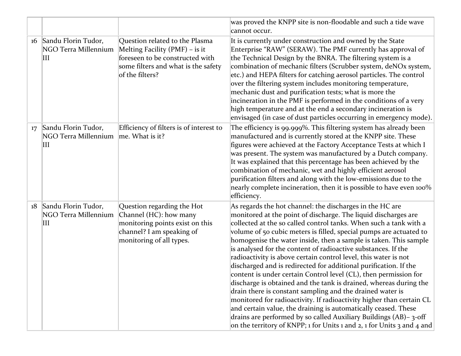|    |                                                               |                                                                                                                                                                 | was proved the KNPP site is non-floodable and such a tide wave<br>cannot occur.                                                                                                                                                                                                                                                                                                                                                                                                                                                                                                                                                                                                                                                                                                                                                                                                                                                                                                                                                                 |
|----|---------------------------------------------------------------|-----------------------------------------------------------------------------------------------------------------------------------------------------------------|-------------------------------------------------------------------------------------------------------------------------------------------------------------------------------------------------------------------------------------------------------------------------------------------------------------------------------------------------------------------------------------------------------------------------------------------------------------------------------------------------------------------------------------------------------------------------------------------------------------------------------------------------------------------------------------------------------------------------------------------------------------------------------------------------------------------------------------------------------------------------------------------------------------------------------------------------------------------------------------------------------------------------------------------------|
| 16 | Sandu Florin Tudor,<br>NGO Terra Millennium<br>$\mathbf{III}$ | Question related to the Plasma<br>Melting Facility $(PMF)$ – is it<br>foreseen to be constructed with<br>some filters and what is the safety<br>of the filters? | It is currently under construction and owned by the State<br>Enterprise "RAW" (SERAW). The PMF currently has approval of<br>the Technical Design by the BNRA. The filtering system is a<br>combination of mechanic filters (Scrubber system, deNOx system,<br>etc.) and HEPA filters for catching aerosol particles. The control<br>over the filtering system includes monitoring temperature,<br>mechanic dust and purification tests; what is more the<br>incineration in the PMF is performed in the conditions of a very<br>high temperature and at the end a secondary incineration is<br>envisaged (in case of dust particles occurring in emergency mode).                                                                                                                                                                                                                                                                                                                                                                               |
| 17 | Sandu Florin Tudor,<br>NGO Terra Millennium<br>$\mathbf{III}$ | Efficiency of filters is of interest to<br>me. What is it?                                                                                                      | The efficiency is 99.999%. This filtering system has already been<br>manufactured and is currently stored at the KNPP site. These<br>figures were achieved at the Factory Acceptance Tests at which I<br>was present. The system was manufactured by a Dutch company.<br>It was explained that this percentage has been achieved by the<br>combination of mechanic, wet and highly efficient aerosol<br>purification filters and along with the low-emissions due to the<br>nearly complete incineration, then it is possible to have even 100%<br>efficiency.                                                                                                                                                                                                                                                                                                                                                                                                                                                                                  |
| 18 | Sandu Florin Tudor,<br>NGO Terra Millennium<br>Ш              | Question regarding the Hot<br>Channel (HC): how many<br>monitoring points exist on this<br>channel? I am speaking of<br>monitoring of all types.                | As regards the hot channel: the discharges in the HC are<br>monitored at the point of discharge. The liquid discharges are<br>collected at the so called control tanks. When such a tank with a<br>volume of 50 cubic meters is filled, special pumps are actuated to<br>homogenise the water inside, then a sample is taken. This sample<br>is analysed for the content of radioactive substances. If the<br>radioactivity is above certain control level, this water is not<br>discharged and is redirected for additional purification. If the<br>content is under certain Control level (CL), then permission for<br>discharge is obtained and the tank is drained, whereas during the<br>drain there is constant sampling and the drained water is<br>monitored for radioactivity. If radioactivity higher than certain CL<br>and certain value, the draining is automatically ceased. These<br>drains are performed by so called Auxiliary Buildings (AB)-3-off<br>on the territory of KNPP; 1 for Units 1 and 2, 1 for Units 3 and 4 and |